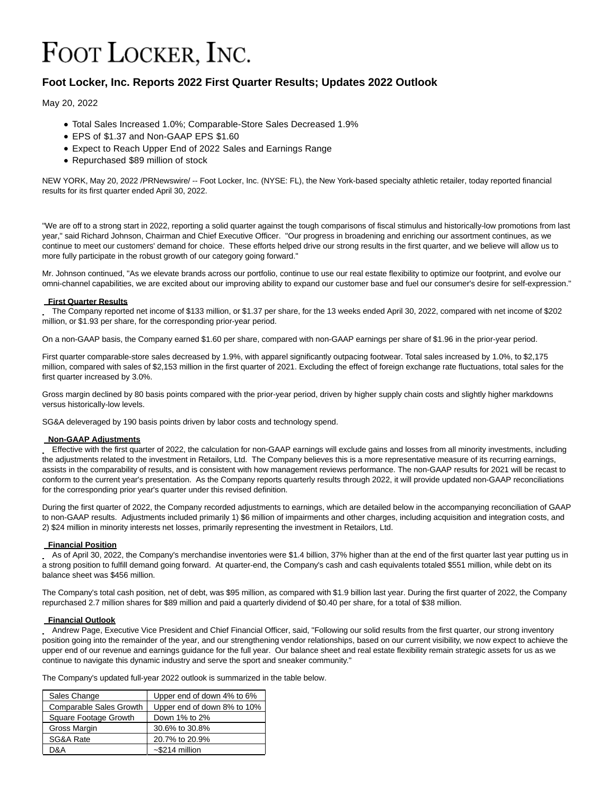# FOOT LOCKER, INC.

# **Foot Locker, Inc. Reports 2022 First Quarter Results; Updates 2022 Outlook**

May 20, 2022

- Total Sales Increased 1.0%; Comparable-Store Sales Decreased 1.9%
- EPS of \$1.37 and Non-GAAP EPS \$1.60
- Expect to Reach Upper End of 2022 Sales and Earnings Range
- Repurchased \$89 million of stock

NEW YORK, May 20, 2022 /PRNewswire/ -- Foot Locker, Inc. (NYSE: FL), the New York-based specialty athletic retailer, today reported financial results for its first quarter ended April 30, 2022.

"We are off to a strong start in 2022, reporting a solid quarter against the tough comparisons of fiscal stimulus and historically-low promotions from last year," said Richard Johnson, Chairman and Chief Executive Officer. "Our progress in broadening and enriching our assortment continues, as we continue to meet our customers' demand for choice. These efforts helped drive our strong results in the first quarter, and we believe will allow us to more fully participate in the robust growth of our category going forward."

Mr. Johnson continued, "As we elevate brands across our portfolio, continue to use our real estate flexibility to optimize our footprint, and evolve our omni-channel capabilities, we are excited about our improving ability to expand our customer base and fuel our consumer's desire for self-expression."

## **First Quarter Results**

The Company reported net income of \$133 million, or \$1.37 per share, for the 13 weeks ended April 30, 2022, compared with net income of \$202 million, or \$1.93 per share, for the corresponding prior-year period.

On a non-GAAP basis, the Company earned \$1.60 per share, compared with non-GAAP earnings per share of \$1.96 in the prior-year period.

First quarter comparable-store sales decreased by 1.9%, with apparel significantly outpacing footwear. Total sales increased by 1.0%, to \$2,175 million, compared with sales of \$2,153 million in the first quarter of 2021. Excluding the effect of foreign exchange rate fluctuations, total sales for the first quarter increased by 3.0%.

Gross margin declined by 80 basis points compared with the prior-year period, driven by higher supply chain costs and slightly higher markdowns versus historically-low levels.

SG&A deleveraged by 190 basis points driven by labor costs and technology spend.

# **Non-GAAP Adjustments**

Effective with the first quarter of 2022, the calculation for non-GAAP earnings will exclude gains and losses from all minority investments, including the adjustments related to the investment in Retailors, Ltd. The Company believes this is a more representative measure of its recurring earnings, assists in the comparability of results, and is consistent with how management reviews performance. The non-GAAP results for 2021 will be recast to conform to the current year's presentation. As the Company reports quarterly results through 2022, it will provide updated non-GAAP reconciliations for the corresponding prior year's quarter under this revised definition.

During the first quarter of 2022, the Company recorded adjustments to earnings, which are detailed below in the accompanying reconciliation of GAAP to non-GAAP results. Adjustments included primarily 1) \$6 million of impairments and other charges, including acquisition and integration costs, and 2) \$24 million in minority interests net losses, primarily representing the investment in Retailors, Ltd.

# **Financial Position**

As of April 30, 2022, the Company's merchandise inventories were \$1.4 billion, 37% higher than at the end of the first quarter last year putting us in a strong position to fulfill demand going forward. At quarter-end, the Company's cash and cash equivalents totaled \$551 million, while debt on its balance sheet was \$456 million.

The Company's total cash position, net of debt, was \$95 million, as compared with \$1.9 billion last year. During the first quarter of 2022, the Company repurchased 2.7 million shares for \$89 million and paid a quarterly dividend of \$0.40 per share, for a total of \$38 million.

#### **Financial Outlook**

Andrew Page, Executive Vice President and Chief Financial Officer, said, "Following our solid results from the first quarter, our strong inventory position going into the remainder of the year, and our strengthening vendor relationships, based on our current visibility, we now expect to achieve the upper end of our revenue and earnings guidance for the full year. Our balance sheet and real estate flexibility remain strategic assets for us as we continue to navigate this dynamic industry and serve the sport and sneaker community."

The Company's updated full-year 2022 outlook is summarized in the table below.

| Sales Change                   | Upper end of down 4% to 6%  |
|--------------------------------|-----------------------------|
| <b>Comparable Sales Growth</b> | Upper end of down 8% to 10% |
| Square Footage Growth          | Down 1% to 2%               |
| Gross Margin                   | 30.6% to 30.8%              |
| SG&A Rate                      | 20.7% to 20.9%              |
| D&A                            | $\sim$ \$214 million        |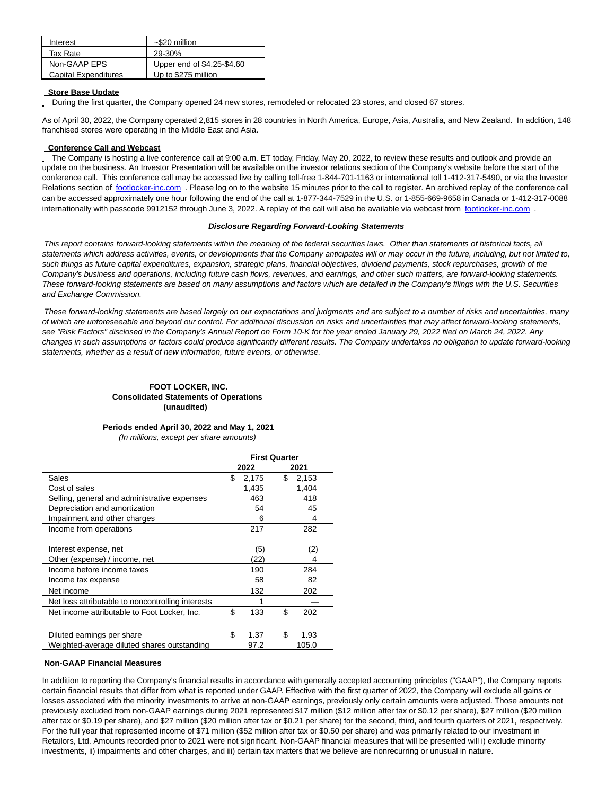| Interest                    | $~520$ million             |
|-----------------------------|----------------------------|
| Tax Rate                    | 29-30%                     |
| Non-GAAP EPS                | Upper end of \$4.25-\$4.60 |
| <b>Capital Expenditures</b> | Up to \$275 million        |

#### **Store Base Update**

During the first quarter, the Company opened 24 new stores, remodeled or relocated 23 stores, and closed 67 stores.

As of April 30, 2022, the Company operated 2,815 stores in 28 countries in North America, Europe, Asia, Australia, and New Zealand. In addition, 148 franchised stores were operating in the Middle East and Asia.

#### **Conference Call and Webcast**

The Company is hosting a live conference call at 9:00 a.m. ET today, Friday, May 20, 2022, to review these results and outlook and provide an update on the business. An Investor Presentation will be available on the investor relations section of the Company's website before the start of the conference call. This conference call may be accessed live by calling toll-free 1-844-701-1163 or international toll 1-412-317-5490, or via the Investor Relations section of footlocker-inc.com. Please log on to the website 15 minutes prior to the call to register. An archived replay of the conference call can be accessed approximately one hour following the end of the call at 1-877-344‑7529 in the U.S. or 1-855-669-9658 in Canada or 1-412-317-0088 internationally with passcode 9912152 through June 3, 2022. A replay of the call will also be available via webcast from footlocker-inc.com.

#### **Disclosure Regarding Forward-Looking Statements**

This report contains forward-looking statements within the meaning of the federal securities laws. Other than statements of historical facts, all statements which address activities, events, or developments that the Company anticipates will or may occur in the future, including, but not limited to, such things as future capital expenditures, expansion, strategic plans, financial objectives, dividend payments, stock repurchases, growth of the Company's business and operations, including future cash flows, revenues, and earnings, and other such matters, are forward-looking statements. These forward-looking statements are based on many assumptions and factors which are detailed in the Company's filings with the U.S. Securities and Exchange Commission.

These forward-looking statements are based largely on our expectations and judgments and are subject to a number of risks and uncertainties, many of which are unforeseeable and beyond our control. For additional discussion on risks and uncertainties that may affect forward-looking statements, see "Risk Factors" disclosed in the Company's Annual Report on Form 10-K for the year ended January 29, 2022 filed on March 24, 2022. Any changes in such assumptions or factors could produce significantly different results. The Company undertakes no obligation to update forward-looking statements, whether as a result of new information, future events, or otherwise.

## **FOOT LOCKER, INC. Consolidated Statements of Operations (unaudited)**

## **Periods ended April 30, 2022 and May 1, 2021**

(In millions, except per share amounts)

|                                                   | <b>First Quarter</b> |       |    |       |  |
|---------------------------------------------------|----------------------|-------|----|-------|--|
|                                                   |                      | 2022  |    | 2021  |  |
| Sales                                             | \$                   | 2,175 | \$ | 2,153 |  |
| Cost of sales                                     |                      | 1,435 |    | 1,404 |  |
| Selling, general and administrative expenses      |                      | 463   |    | 418   |  |
| Depreciation and amortization                     |                      | 54    |    | 45    |  |
| Impairment and other charges                      |                      | 6     |    | 4     |  |
| Income from operations                            |                      | 217   |    | 282   |  |
|                                                   |                      |       |    |       |  |
| Interest expense, net                             |                      | (5)   |    | (2)   |  |
| Other (expense) / income, net                     |                      | (22)  |    | 4     |  |
| Income before income taxes                        |                      | 190   |    | 284   |  |
| Income tax expense                                |                      | 58    |    | 82    |  |
| Net income                                        |                      | 132   |    | 202   |  |
| Net loss attributable to noncontrolling interests |                      | 1     |    |       |  |
| Net income attributable to Foot Locker, Inc.      |                      | 133   | \$ | 202   |  |
|                                                   |                      |       |    |       |  |
| Diluted earnings per share                        | \$                   | 1.37  | S  | 1.93  |  |
| Weighted-average diluted shares outstanding       |                      | 97.2  |    | 105.0 |  |

#### **Non-GAAP Financial Measures**

In addition to reporting the Company's financial results in accordance with generally accepted accounting principles ("GAAP"), the Company reports certain financial results that differ from what is reported under GAAP. Effective with the first quarter of 2022, the Company will exclude all gains or losses associated with the minority investments to arrive at non-GAAP earnings, previously only certain amounts were adjusted. Those amounts not previously excluded from non-GAAP earnings during 2021 represented \$17 million (\$12 million after tax or \$0.12 per share), \$27 million (\$20 million after tax or \$0.19 per share), and \$27 million (\$20 million after tax or \$0.21 per share) for the second, third, and fourth quarters of 2021, respectively. For the full year that represented income of \$71 million (\$52 million after tax or \$0.50 per share) and was primarily related to our investment in Retailors, Ltd. Amounts recorded prior to 2021 were not significant. Non-GAAP financial measures that will be presented will i) exclude minority investments, ii) impairments and other charges, and iii) certain tax matters that we believe are nonrecurring or unusual in nature.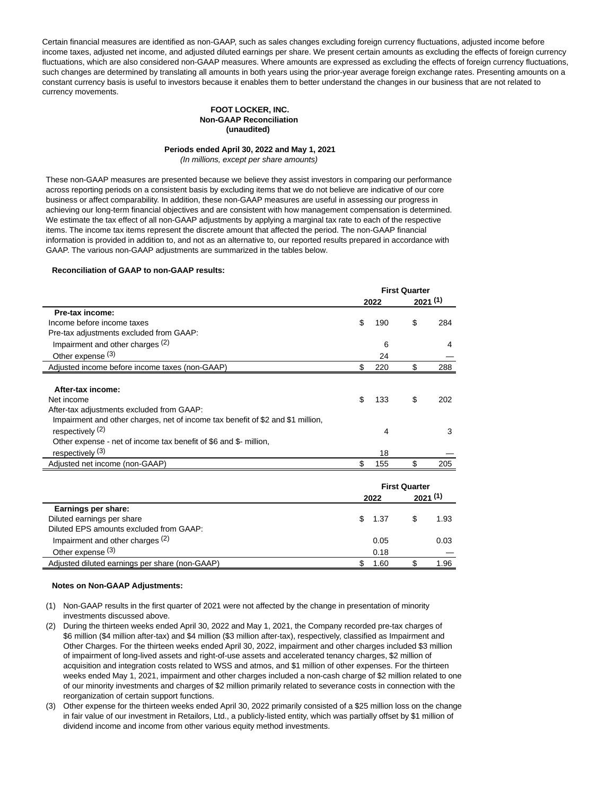Certain financial measures are identified as non-GAAP, such as sales changes excluding foreign currency fluctuations, adjusted income before income taxes, adjusted net income, and adjusted diluted earnings per share. We present certain amounts as excluding the effects of foreign currency fluctuations, which are also considered non-GAAP measures. Where amounts are expressed as excluding the effects of foreign currency fluctuations, such changes are determined by translating all amounts in both years using the prior-year average foreign exchange rates. Presenting amounts on a constant currency basis is useful to investors because it enables them to better understand the changes in our business that are not related to currency movements.

#### **FOOT LOCKER, INC. Non-GAAP Reconciliation (unaudited)**

# **Periods ended April 30, 2022 and May 1, 2021**

(In millions, except per share amounts)

These non-GAAP measures are presented because we believe they assist investors in comparing our performance across reporting periods on a consistent basis by excluding items that we do not believe are indicative of our core business or affect comparability. In addition, these non-GAAP measures are useful in assessing our progress in achieving our long-term financial objectives and are consistent with how management compensation is determined. We estimate the tax effect of all non-GAAP adjustments by applying a marginal tax rate to each of the respective items. The income tax items represent the discrete amount that affected the period. The non-GAAP financial information is provided in addition to, and not as an alternative to, our reported results prepared in accordance with GAAP. The various non-GAAP adjustments are summarized in the tables below.

#### **Reconciliation of GAAP to non-GAAP results:**

|                                                                                 | <b>First Quarter</b> |      |    |         |
|---------------------------------------------------------------------------------|----------------------|------|----|---------|
|                                                                                 |                      | 2022 |    | 2021(1) |
| Pre-tax income:                                                                 |                      |      |    |         |
| Income before income taxes                                                      | \$                   | 190  | S  | 284     |
| Pre-tax adjustments excluded from GAAP:                                         |                      |      |    |         |
| Impairment and other charges (2)                                                |                      | 6    |    | 4       |
| Other expense (3)                                                               |                      | 24   |    |         |
| Adjusted income before income taxes (non-GAAP)                                  | S                    | 220  | \$ | 288     |
|                                                                                 |                      |      |    |         |
| After-tax income:                                                               |                      |      |    |         |
| Net income                                                                      | \$                   | 133  | \$ | 202     |
| After-tax adjustments excluded from GAAP:                                       |                      |      |    |         |
| Impairment and other charges, net of income tax benefit of \$2 and \$1 million, |                      |      |    |         |
| respectively <sup>(2)</sup>                                                     |                      | 4    |    | 3       |
| Other expense - net of income tax benefit of \$6 and \$- million,               |                      |      |    |         |
| respectively <sup>(3)</sup>                                                     |                      | 18   |    |         |
| Adjusted net income (non-GAAP)                                                  |                      | 155  | S  | 205     |
|                                                                                 |                      |      |    |         |

|                                                | <b>First Quarter</b> |        |  |         |
|------------------------------------------------|----------------------|--------|--|---------|
|                                                |                      | 2022   |  | 2021(1) |
| Earnings per share:                            |                      |        |  |         |
| Diluted earnings per share                     |                      | \$1.37 |  | 1.93    |
| Diluted EPS amounts excluded from GAAP:        |                      |        |  |         |
| Impairment and other charges (2)               |                      | 0.05   |  | 0.03    |
| Other expense $(3)$                            |                      | 0.18   |  |         |
| Adjusted diluted earnings per share (non-GAAP) |                      | 1.60   |  | 1.96    |

#### **Notes on Non-GAAP Adjustments:**

- (1) Non-GAAP results in the first quarter of 2021 were not affected by the change in presentation of minority investments discussed above.
- (2) During the thirteen weeks ended April 30, 2022 and May 1, 2021, the Company recorded pre-tax charges of \$6 million (\$4 million after-tax) and \$4 million (\$3 million after-tax), respectively, classified as Impairment and Other Charges. For the thirteen weeks ended April 30, 2022, impairment and other charges included \$3 million of impairment of long-lived assets and right-of-use assets and accelerated tenancy charges, \$2 million of acquisition and integration costs related to WSS and atmos, and \$1 million of other expenses. For the thirteen weeks ended May 1, 2021, impairment and other charges included a non-cash charge of \$2 million related to one of our minority investments and charges of \$2 million primarily related to severance costs in connection with the reorganization of certain support functions.
- (3) Other expense for the thirteen weeks ended April 30, 2022 primarily consisted of a \$25 million loss on the change in fair value of our investment in Retailors, Ltd., a publicly-listed entity, which was partially offset by \$1 million of dividend income and income from other various equity method investments.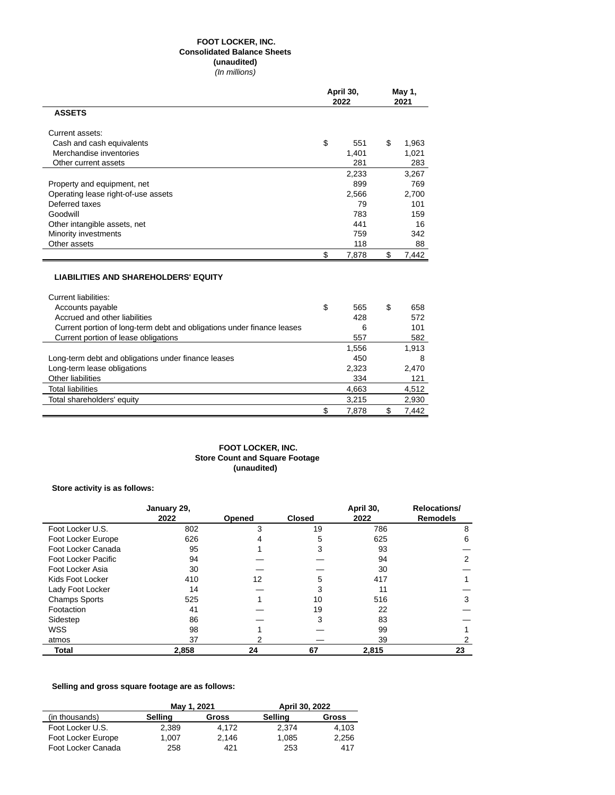# **FOOT LOCKER, INC. Consolidated Balance Sheets (unaudited)**

(In millions)

|                                     | April 30,<br>2022 |    | May 1,<br>2021 |
|-------------------------------------|-------------------|----|----------------|
| <b>ASSETS</b>                       |                   |    |                |
| Current assets:                     |                   |    |                |
| Cash and cash equivalents           | \$<br>551         | \$ | 1,963          |
| Merchandise inventories             | 1.401             |    | 1,021          |
| Other current assets                | 281               |    | 283            |
|                                     | 2,233             |    | 3,267          |
| Property and equipment, net         | 899               |    | 769            |
| Operating lease right-of-use assets | 2,566             |    | 2,700          |
| Deferred taxes                      | 79                |    | 101            |
| Goodwill                            | 783               |    | 159            |
| Other intangible assets, net        | 441               |    | 16             |
| Minority investments                | 759               |    | 342            |
| Other assets                        | 118               |    | 88             |
|                                     | \$<br>7,878       | \$ | 7,442          |
|                                     |                   |    |                |

# **LIABILITIES AND SHAREHOLDERS' EQUITY**

| Current liabilities:                                                   |             |             |
|------------------------------------------------------------------------|-------------|-------------|
| Accounts payable                                                       | \$<br>565   | \$<br>658   |
| Accrued and other liabilities                                          | 428         | 572         |
| Current portion of long-term debt and obligations under finance leases | 6           | 101         |
| Current portion of lease obligations                                   | 557         | 582         |
|                                                                        | 1,556       | 1.913       |
| Long-term debt and obligations under finance leases                    | 450         | 8           |
| Long-term lease obligations                                            | 2.323       | 2.470       |
| Other liabilities                                                      | 334         | 121         |
| <b>Total liabilities</b>                                               | 4,663       | 4,512       |
| Total shareholders' equity                                             | 3.215       | 2,930       |
|                                                                        | \$<br>7.878 | \$<br>7.442 |

### **FOOT LOCKER, INC. Store Count and Square Footage (unaudited)**

# **Store activity is as follows:**

|                      | January 29, |        |               | April 30, | Relocations/    |
|----------------------|-------------|--------|---------------|-----------|-----------------|
|                      | 2022        | Opened | <b>Closed</b> | 2022      | <b>Remodels</b> |
| Foot Locker U.S.     | 802         | 3      | 19            | 786       | 8               |
| Foot Locker Europe   | 626         |        | 5             | 625       | 6               |
| Foot Locker Canada   | 95          |        | 3             | 93        |                 |
| Foot Locker Pacific  | 94          |        |               | 94        | 2               |
| Foot Locker Asia     | 30          |        |               | 30        |                 |
| Kids Foot Locker     | 410         | 12     | 5             | 417       |                 |
| Lady Foot Locker     | 14          |        | 3             | 11        |                 |
| <b>Champs Sports</b> | 525         |        | 10            | 516       | 3               |
| Footaction           | 41          |        | 19            | 22        |                 |
| Sidestep             | 86          |        | 3             | 83        |                 |
| <b>WSS</b>           | 98          |        |               | 99        |                 |
| atmos                | 37          |        |               | 39        |                 |
| <b>Total</b>         | 2.858       | 24     | 67            | 2,815     | 23              |

# **Selling and gross square footage are as follows:**

|                    |         | May 1, 2021 | April 30, 2022 |       |  |
|--------------------|---------|-------------|----------------|-------|--|
| (in thousands)     | Sellina | Gross       | Selling        | Gross |  |
| Foot Locker U.S.   | 2.389   | 4.172       | 2.374          | 4.103 |  |
| Foot Locker Europe | 1.007   | 2.146       | 1.085          | 2.256 |  |
| Foot Locker Canada | 258     | 421         | 253            | 417   |  |